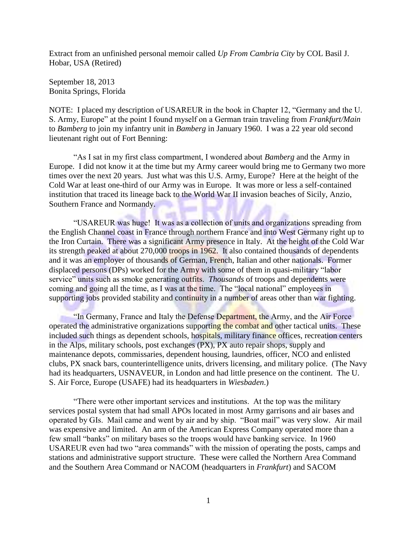Extract from an unfinished personal memoir called *Up From Cambria City* by COL Basil J. Hobar, USA (Retired)

September 18, 2013 Bonita Springs, Florida

NOTE: I placed my description of USAREUR in the book in Chapter 12, "Germany and the U. S. Army, Europe" at the point I found myself on a German train traveling from *Frankfurt/Main* to *Bamberg* to join my infantry unit in *Bamberg* in January 1960. I was a 22 year old second lieutenant right out of Fort Benning:

"As I sat in my first class compartment, I wondered about *Bamberg* and the Army in Europe. I did not know it at the time but my Army career would bring me to Germany two more times over the next 20 years. Just what was this U.S. Army, Europe? Here at the height of the Cold War at least one-third of our Army was in Europe. It was more or less a self-contained institution that traced its lineage back to the World War II invasion beaches of Sicily, Anzio, Southern France and Normandy.

"USAREUR was huge! It was as a collection of units and organizations spreading from the English Channel coast in France through northern France and into West Germany right up to the Iron Curtain. There was a significant Army presence in Italy. At the height of the Cold War its strength peaked at about 270,000 troops in 1962. It also contained thousands of dependents and it was an employer of thousands of German, French, Italian and other nationals. Former displaced persons (DPs) worked for the Army with some of them in quasi-military "labor service" units such as smoke generating outfits. *Thousands* of troops and dependents were coming and going all the time, as I was at the time. The "local national" employees in supporting jobs provided stability and continuity in a number of areas other than war fighting.

"In Germany, France and Italy the Defense Department, the Army, and the Air Force operated the administrative organizations supporting the combat and other tactical units. These included such things as dependent schools, hospitals, military finance offices, recreation centers in the Alps, military schools, post exchanges (PX), PX auto repair shops, supply and maintenance depots, commissaries, dependent housing, laundries, officer, NCO and enlisted clubs, PX snack bars, counterintelligence units, drivers licensing, and military police. (The Navy had its headquarters, USNAVEUR, in London and had little presence on the continent. The U. S. Air Force, Europe (USAFE) had its headquarters in *Wiesbaden*.)

"There were other important services and institutions. At the top was the military services postal system that had small APOs located in most Army garrisons and air bases and operated by GIs. Mail came and went by air and by ship. "Boat mail" was very slow. Air mail was expensive and limited. An arm of the American Express Company operated more than a few small "banks" on military bases so the troops would have banking service. In 1960 USAREUR even had two "area commands" with the mission of operating the posts, camps and stations and administrative support structure. These were called the Northern Area Command and the Southern Area Command or NACOM (headquarters in *Frankfurt*) and SACOM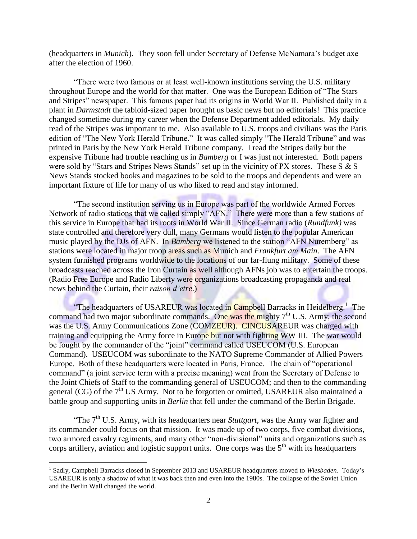(headquarters in *Munich*). They soon fell under Secretary of Defense McNamara's budget axe after the election of 1960.

"There were two famous or at least well-known institutions serving the U.S. military throughout Europe and the world for that matter. One was the European Edition of "The Stars and Stripes" newspaper. This famous paper had its origins in World War II. Published daily in a plant in *Darmstadt* the tabloid-sized paper brought us basic news but no editorials! This practice changed sometime during my career when the Defense Department added editorials. My daily read of the Stripes was important to me. Also available to U.S. troops and civilians was the Paris edition of "The New York Herald Tribune." It was called simply "The Herald Tribune" and was printed in Paris by the New York Herald Tribune company. I read the Stripes daily but the expensive Tribune had trouble reaching us in *Bamberg* or I was just not interested. Both papers were sold by "Stars and Stripes News Stands" set up in the vicinity of PX stores. These S & S News Stands stocked books and magazines to be sold to the troops and dependents and were an important fixture of life for many of us who liked to read and stay informed.

"The second institution serving us in Europe was part of the worldwide Armed Forces Network of radio stations that we called simply "AFN." There were more than a few stations of this service in Europe that had its roots in World War II. Since German radio (*Rundfunk)* was state controlled and therefore very dull, many Germans would listen to the popular American music played by the DJs of AFN. In *Bamberg* we listened to the station "AFN Nuremberg" as stations were located in major troop areas such as Munich and *Frankfurt am Main*. The AFN system furnished programs worldwide to the locations of our far-flung military. Some of these broadcasts reached across the Iron Curtain as well although AFNs job was to entertain the troops. (Radio Free Europe and Radio Liberty were organizations broadcasting propaganda and real news behind the Curtain, their *raison d'etre*.)

"The headquarters of USAREUR was located in Campbell Barracks in Heidelberg.<sup>1</sup> The command had two major subordinate commands. One was the mighty  $7<sup>th</sup>$  U.S. Army; the second was the U.S. Army Communications Zone (COMZEUR). CINCUSAREUR was charged with training and equipping the Army force in Europe but not with fighting WW III. The war would be fought by the commander of the "joint" command called USEUCOM (U.S. European Command). USEUCOM was subordinate to the NATO Supreme Commander of Allied Powers Europe. Both of these headquarters were located in Paris, France. The chain of "operational command" (a joint service term with a precise meaning) went from the Secretary of Defense to the Joint Chiefs of Staff to the commanding general of USEUCOM; and then to the commanding general (CG) of the  $7<sup>th</sup>$  US Army. Not to be forgotten or omitted, USAREUR also maintained a battle group and supporting units in *Berlin* that fell under the command of the Berlin Brigade.

"The  $7<sup>th</sup>$  U.S. Army, with its headquarters near *Stuttgart*, was the Army war fighter and its commander could focus on that mission. It was made up of two corps, five combat divisions, two armored cavalry regiments, and many other "non-divisional" units and organizations such as corps artillery, aviation and logistic support units. One corps was the  $5<sup>th</sup>$  with its headquarters

 $\overline{a}$ 

<sup>&</sup>lt;sup>1</sup> Sadly, Campbell Barracks closed in September 2013 and USAREUR headquarters moved to Wiesbaden. Today's USAREUR is only a shadow of what it was back then and even into the 1980s. The collapse of the Soviet Union and the Berlin Wall changed the world.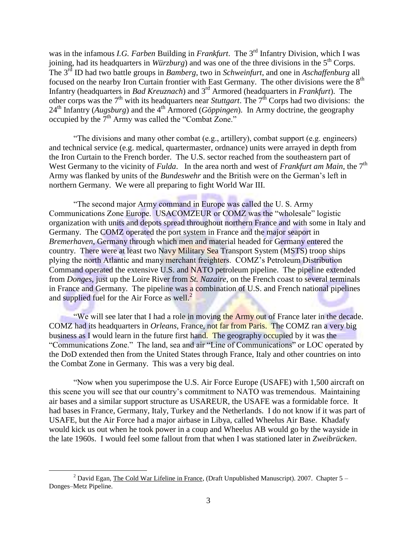was in the infamous *I.G. Farben* Building in *Frankfurt*. The 3<sup>rd</sup> Infantry Division, which I was joining, had its headquarters in *Würzburg*) and was one of the three divisions in the  $5<sup>th</sup>$  Corps. The 3rd ID had two battle groups in *Bamberg*, two in *Schweinfurt*, and one in *Aschaffenburg* all focused on the nearby Iron Curtain frontier with East Germany. The other divisions were the  $8<sup>th</sup>$ Infantry (headquarters in *Bad Kreuznach*) and 3 rd Armored (headquarters in *Frankfurt*). The other corps was the 7<sup>th</sup> with its headquarters near *Stuttgart*. The 7<sup>th</sup> Corps had two divisions: the 24<sup>th</sup> Infantry (*Augsburg*) and the 4<sup>th</sup> Armored (*Göppingen*). In Army doctrine, the geography occupied by the  $7<sup>th</sup>$  Army was called the "Combat Zone."

"The divisions and many other combat (e.g., artillery), combat support (e.g. engineers) and technical service (e.g. medical, quartermaster, ordnance) units were arrayed in depth from the Iron Curtain to the French border. The U.S. sector reached from the southeastern part of West Germany to the vicinity of *Fulda*. In the area north and west of *Frankfurt am Main*, the 7<sup>th</sup> Army was flanked by units of the *Bundeswehr* and the British were on the German's left in northern Germany. We were all preparing to fight World War III.

"The second major Army command in Europe was called the U. S. Army Communications Zone Europe. USACOMZEUR or COMZ was the "wholesale" logistic organization with units and depots spread throughout northern France and with some in Italy and Germany. The COMZ operated the port system in France and the major seaport in *Bremerhaven*, Germany through which men and material headed for Germany entered the country. There were at least two Navy Military Sea Transport System (MSTS) troop ships plying the north Atlantic and many merchant freighters. COMZ's Petroleum Distribution Command operated the extensive U.S. and NATO petroleum pipeline. The pipeline extended from *Donges*, just up the Loire River from *St. Nazaire*, on the French coast to several terminals in France and Germany. The pipeline was a combination of U.S. and French national pipelines and supplied fuel for the Air Force as well. $<sup>2</sup>$ </sup>

"We will see later that I had a role in moving the Army out of France later in the decade. COMZ had its headquarters in *Orleans*, France, not far from Paris. The COMZ ran a very big business as I would learn in the future first hand. The geography occupied by it was the "Communications Zone." The land, sea and air "Line of Communications" or LOC operated by the DoD extended then from the United States through France, Italy and other countries on into the Combat Zone in Germany. This was a very big deal.

"Now when you superimpose the U.S. Air Force Europe (USAFE) with 1,500 aircraft on this scene you will see that our country's commitment to NATO was tremendous. Maintaining air bases and a similar support structure as USAREUR, the USAFE was a formidable force. It had bases in France, Germany, Italy, Turkey and the Netherlands. I do not know if it was part of USAFE, but the Air Force had a major airbase in Libya, called Wheelus Air Base. Khadafy would kick us out when he took power in a coup and Wheelus AB would go by the wayside in the late 1960s. I would feel some fallout from that when I was stationed later in *Zweibrücken*.

 $\overline{a}$ 

<sup>&</sup>lt;sup>2</sup> David Egan, The Cold War Lifeline in France, (Draft Unpublished Manuscript). 2007. Chapter  $5 -$ Donges–Metz Pipeline.